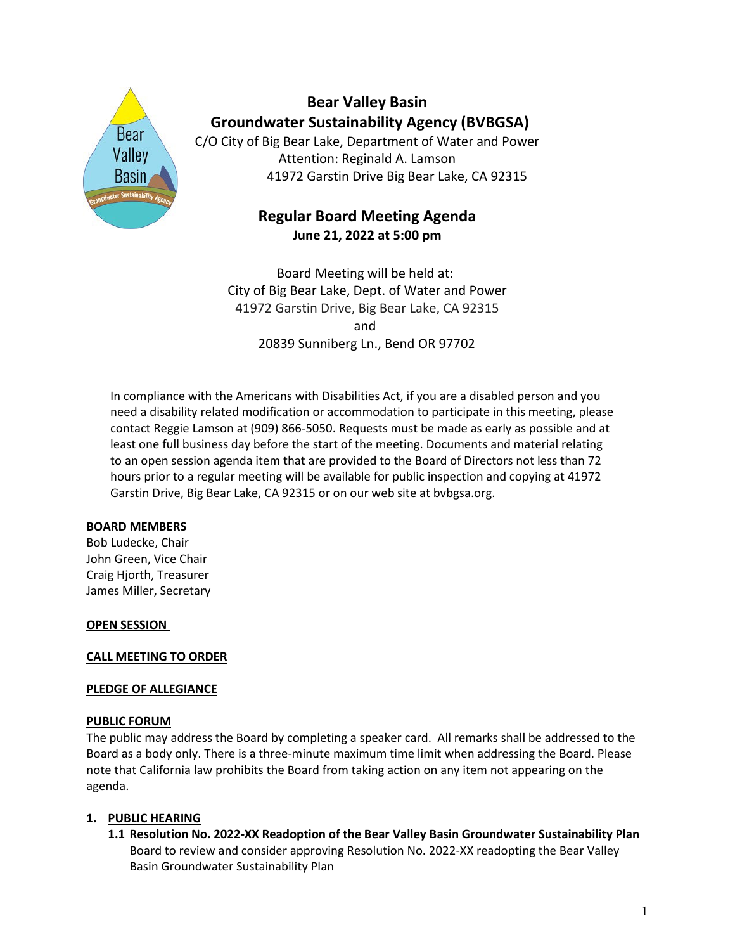

# **Bear Valley Basin Groundwater Sustainability Agency (BVBGSA)**

C/O City of Big Bear Lake, Department of Water and Power Attention: Reginald A. Lamson 41972 Garstin Drive Big Bear Lake, CA 92315

# **Regular Board Meeting Agenda June 21, 2022 at 5:00 pm**

Board Meeting will be held at: City of Big Bear Lake, Dept. of Water and Power 41972 Garstin Drive, Big Bear Lake, CA 92315 and 20839 Sunniberg Ln., Bend OR 97702

In compliance with the Americans with Disabilities Act, if you are a disabled person and you need a disability related modification or accommodation to participate in this meeting, please contact Reggie Lamson at (909) 866-5050. Requests must be made as early as possible and at least one full business day before the start of the meeting. Documents and material relating to an open session agenda item that are provided to the Board of Directors not less than 72 hours prior to a regular meeting will be available for public inspection and copying at 41972 Garstin Drive, Big Bear Lake, CA 92315 or on our web site at bvbgsa.org.

# **BOARD MEMBERS**

Bob Ludecke, Chair John Green, Vice Chair Craig Hjorth, Treasurer James Miller, Secretary

# **OPEN SESSION**

# **CALL MEETING TO ORDER**

#### **PLEDGE OF ALLEGIANCE**

#### **PUBLIC FORUM**

The public may address the Board by completing a speaker card. All remarks shall be addressed to the Board as a body only. There is a three-minute maximum time limit when addressing the Board. Please note that California law prohibits the Board from taking action on any item not appearing on the agenda.

# **1. PUBLIC HEARING**

**1.1 Resolution No. 2022-XX Readoption of the Bear Valley Basin Groundwater Sustainability Plan** Board to review and consider approving Resolution No. 2022-XX readopting the Bear Valley Basin Groundwater Sustainability Plan

1